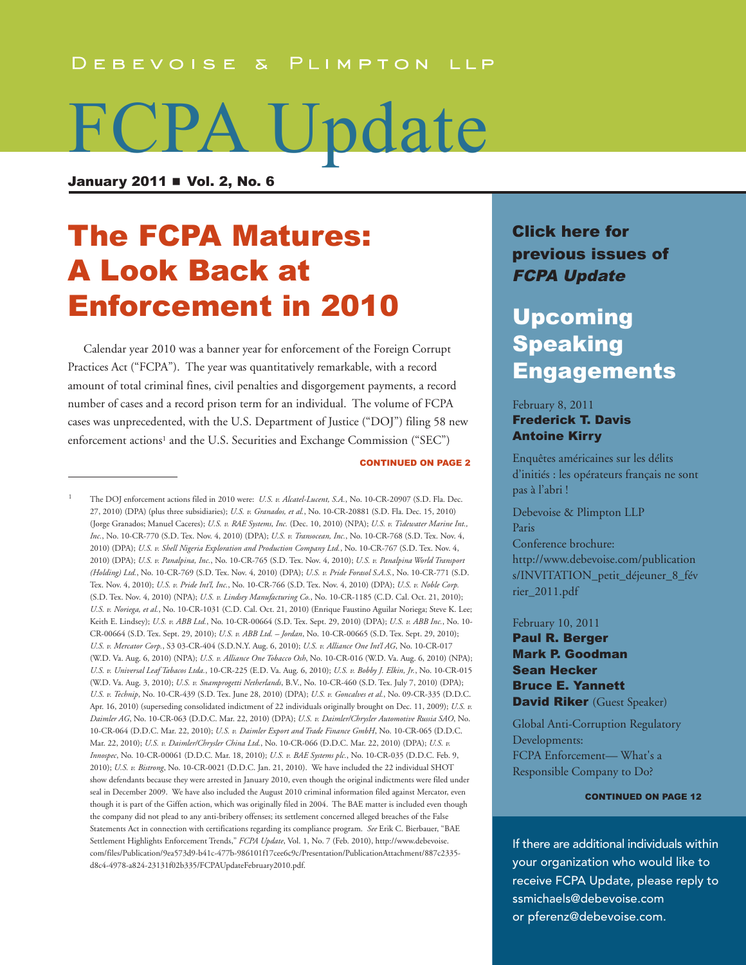#### DEBEVOISE & PLIMPTON LLP

# FCPA Update

January 2011 **N** Vol. 2, No. 6

# **The FCPA Matures:** a Look Back at enforcement in 2010

 Calendar year 2010 was a banner year for enforcement of the Foreign Corrupt Practices Act ("FCPA"). The year was quantitatively remarkable, with a record amount of total criminal fines, civil penalties and disgorgement payments, a record number of cases and a record prison term for an individual. The volume of FCPA cases was unprecedented, with the U.S. Department of Justice ("DOJ") filing 58 new enforcement actions<sup>1</sup> and the U.S. Securities and Exchange Commission ("SEC")

**CONTINUED ON PAGE 2** 

1 The DOJ enforcement actions filed in 2010 were: *U.S. v. Alcatel-Lucent, S.A.*, No. 10-CR-20907 (S.D. Fla. Dec. 27, 2010) (DPA) (plus three subsidiaries); *U.S. v. Granados, et al.*, No. 10-CR-20881 (S.D. Fla. Dec. 15, 2010) (Jorge Granados; Manuel Caceres); *U.S. v. RAE Systems, Inc.* (Dec. 10, 2010) (NPA); *U.S. v. Tidewater Marine Int., Inc.*, No. 10-CR-770 (S.D. Tex. Nov. 4, 2010) (DPA); *U.S. v. Transocean, Inc.*, No. 10-CR-768 (S.D. Tex. Nov. 4, 2010) (DPA); *U.S. v. Shell Nigeria Exploration and Production Company Ltd.*, No. 10-CR-767 (S.D. Tex. Nov. 4, 2010) (DPA); *U.S. v. Panalpina, Inc.*, No. 10-CR-765 (S.D. Tex. Nov. 4, 2010); *U.S. v. Panalpina World Transport (Holding) Ltd.*, No. 10-CR-769 (S.D. Tex. Nov. 4, 2010) (DPA); *U.S. v. Pride Forasol S.A.S.*, No. 10-CR-771 (S.D. Tex. Nov. 4, 2010); *U.S. v. Pride Int'l, Inc.*, No. 10-CR-766 (S.D. Tex. Nov. 4, 2010) (DPA); *U.S. v. Noble Corp.* (S.D. Tex. Nov. 4, 2010) (NPA); *U.S. v. Lindsey Manufacturing Co.*, No. 10-CR-1185 (C.D. Cal. Oct. 21, 2010); *U.S. v. Noriega, et al.*, No. 10-CR-1031 (C.D. Cal. Oct. 21, 2010) (Enrique Faustino Aguilar Noriega; Steve K. Lee; Keith E. Lindsey); *U.S. v. ABB Ltd.*, No. 10-CR-00664 (S.D. Tex. Sept. 29, 2010) (DPA); *U.S. v. ABB Inc.*, No. 10- CR-00664 (S.D. Tex. Sept. 29, 2010); *U.S. v. ABB Ltd. – Jordan*, No. 10-CR-00665 (S.D. Tex. Sept. 29, 2010); *U.S. v. Mercator Corp.*, S3 03-CR-404 (S.D.N.Y. Aug. 6, 2010); *U.S. v. Alliance One Int'l AG*, No. 10-CR-017 (W.D. Va. Aug. 6, 2010) (NPA); *U.S. v. Alliance One Tobacco Osh*, No. 10-CR-016 (W.D. Va. Aug. 6, 2010) (NPA); *U.S. v. Universal Leaf Tabacos Ltda.*, 10-CR-225 (E.D. Va. Aug. 6, 2010); *U.S. v. Bobby J. Elkin, Jr.*, No. 10-CR-015 (W.D. Va. Aug. 3, 2010); *U.S. v. Snamprogetti Netherlands*, B.V., No. 10-CR-460 (S.D. Tex. July 7, 2010) (DPA); *U.S. v. Technip*, No. 10-CR-439 (S.D. Tex. June 28, 2010) (DPA); *U.S. v. Goncalves et al.*, No. 09-CR-335 (D.D.C. Apr. 16, 2010) (superseding consolidated indictment of 22 individuals originally brought on Dec. 11, 2009); *U.S. v. Daimler AG*, No. 10-CR-063 (D.D.C. Mar. 22, 2010) (DPA); *U.S. v. Daimler/Chrysler Automotive Russia SAO*, No. 10-CR-064 (D.D.C. Mar. 22, 2010); *U.S. v. Daimler Export and Trade Finance GmbH*, No. 10-CR-065 (D.D.C. Mar. 22, 2010); *U.S. v. Daimler/Chrysler China Ltd.*, No. 10-CR-066 (D.D.C. Mar. 22, 2010) (DPA); *U.S. v. Innospec*, No. 10-CR-00061 (D.D.C. Mar. 18, 2010); *U.S. v. BAE Systems plc.*, No. 10-CR-035 (D.D.C. Feb. 9, 2010); *U.S. v. Bistrong*, No. 10-CR-0021 (D.D.C. Jan. 21, 2010). We have included the 22 individual SHOT show defendants because they were arrested in January 2010, even though the original indictments were filed under seal in December 2009. We have also included the August 2010 criminal information filed against Mercator, even though it is part of the Giffen action, which was originally filed in 2004. The BAE matter is included even though the company did not plead to any anti-bribery offenses; its settlement concerned alleged breaches of the False Statements Act in connection with certifications regarding its compliance program. *See* Erik C. Bierbauer, "BAE Settlement Highlights Enforcement Trends," *FCPA Update*, Vol. 1, No. 7 (Feb. 2010), http://www.debevoise. [com/files/Publication/9ea573d9-b41c-477b-986101f17cee6c9c/Presentation/PublicationAttachment/887c2335](http://www.debevoise.com/files/Publication/9ea573d9-b41c-477b-9861-01f17cee6c9c/Presentation/PublicationAttachment/887c2335-d8c4-4978-a824-23131f02b335/FCPAUpdateFebruary2010.pdf) d8c4-4978-a824-23131f02b335/FCPAUpdateFebruary2010.pdf.

## Click here for [previous](http://www.debevoise.com/newseventspubs/publications/pubslist.aspx?id=956f0a96-2673-4839-b8de-25f36e36975e&type=viewall) issues of **FCPA Update**

## **Upcoming** Speaking **Engagements**

#### February 8, 2011

### **Frederick T. Davis Antoine Kirry**

Enquêtes américaines sur les délits d'initiés : les opérateurs français ne sont pas à l'abri !

Debevoise & Plimpton LLP **Paris** Conference brochure: http://www.debevoise.com/publication [s/INVITATION\\_petit\\_déjeuner\\_8\\_fév](http://www.debevoise.com/publications/INVITATION_petit_d�jeuner_8_f�vrier_2011.pdf) rier\_2011.pdf

#### February 10, 2011

paul R. Berger **Mark P. Goodman** Sean Hecker **Bruce E. Yannett** David Riker (Guest Speaker)

Global Anti-Corruption Regulatory Developments: FCPA Enforcement— What's a Responsible Company to Do?

#### **CONTINUED ON PAGE 12**

If there are additional individuals within your organization who would like to receive FCPA Update, please reply to [ssmichaels@debevoise.com](mailto:ssmichaels@debevoise.com) or [pferenz@debevoise.com.](mailto:pferenz@debevoise.com)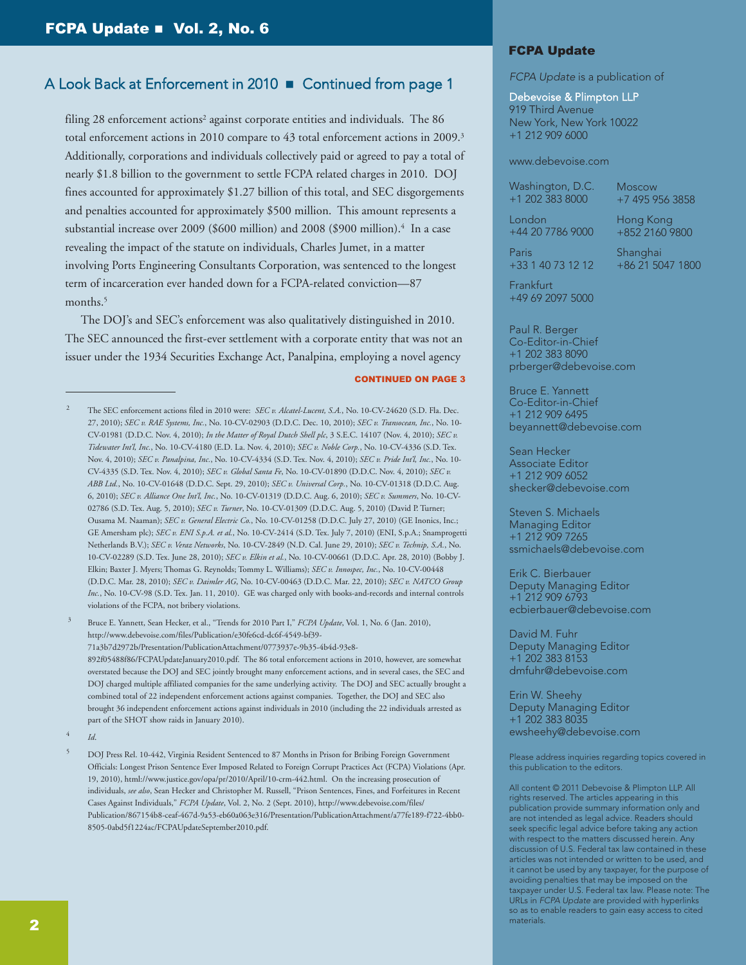filing 28 enforcement actions<sup>2</sup> against corporate entities and individuals. The 86 total enforcement actions in 2010 compare to 43 total enforcement actions in 2009. 3 Additionally, corporations and individuals collectively paid or agreed to pay a total of nearly \$1.8 billion to the government to settle FCPA related charges in 2010. DOJ fines accounted for approximately \$1.27 billion of this total, and SEC disgorgements and penalties accounted for approximately \$500 million. This amount represents a substantial increase over 2009 (\$600 million) and 2008 (\$900 million). <sup>4</sup> In a case revealing the impact of the statute on individuals, Charles Jumet, in a matter involving Ports Engineering Consultants Corporation, was sentenced to the longest term of incarceration ever handed down for a FCPA-related conviction—87 months. 5

 The DOJ's and SEC's enforcement was also qualitatively distinguished in 2010. The SEC announced the first-ever settlement with a corporate entity that was not an issuer under the 1934 Securities Exchange Act, Panalpina, employing a novel agency

#### **CONTINUED ON PAGE 3**

3 Bruce E. Yannett, Sean Hecker, et al., "Trends for 2010 Part I," *FCPA Update*, Vol. 1, No. 6 (Jan. 2010), http://www.debevoise.com/files/Publication/e30fe6cd-dc6f-4549-bf39- [71a3b7d2972b/Presentation/PublicationAttachment/0773937e-9b35-4b4d-93e8-](http://www.debevoise.com/files/Publication/e30fe6cd-dc6f-4549-bf39-71a3b7d2972b/Presentation/PublicationAttachment/0773937e-9b35-4b4d-93e8-892f05488f86/FCPAUpdateJanuary2010.pdf) 892f05488f86/FCPAUpdateJanuary2010.pdf. The 86 total enforcement actions in 2010, however, are somewhat overstated because the DOJ and SEC jointly brought many enforcement actions, and in several cases, the SEC and DOJ charged multiple affiliated companies for the same underlying activity. The DOJ and SEC actually brought a combined total of 22 independent enforcement actions against companies. Together, the DOJ and SEC also brought 36 independent enforcement actions against individuals in 2010 (including the 22 individuals arrested as

4 *Id*.

part of the SHOT show raids in January 2010).

#### **FCPA Update**

*FCPA Update* is a publication of

#### Debevoise & Plimpton LLP

919 Third Avenue New York, New York 10022 +1 212 909 6000

#### [www.debevoise.com](http://www.debevoise.com)

Washington, D.C. +1 202 383 8000

Moscow +7 495 956 3858

London +44 20 7786 9000

Hong Kong +852 2160 9800

Paris +33 1 40 73 12 12 Shanghai +86 21 5047 1800

**Frankfurt** +49 69 2097 5000

Paul R. Berger Co-Editor-in-Chief +1 202 383 8090 [prberger@debevoise.com](mailto:prberger@debevoise.com)

Bruce E. Yannett Co-Editor-in-Chief +1 212 909 6495 [beyannett@debevoise.com](mailto:beyannett@debevoise.com)

Sean Hecker Associate Editor +1 212 909 6052 [shecker@debevoise.com](mailto:shecker@debevoise.com)

Steven S. Michaels Managing Editor +1 212 909 7265 [ssmichaels@debevoise.com](mailto:ssmichaels@debevoise.com)

Erik C. Bierbauer Deputy Managing Editor +1 212 909 6793 [ecbierbauer@debevoise.com](mailto:ecbierbauer@debevoise.com)

David M. Fuhr Deputy Managing Editor +1 202 383 8153 [dmfuhr@debevoise.com](mailto:dmfuhr@debevoise.com)

Erin W. Sheehy Deputy Managing Editor +1 202 383 8035 [ewsheehy@debevoise.com](mailto:ewsheehy@debevoise.com)

Please address inquiries regarding topics covered in this publication to the editors.

All content © 2011 Debevoise & Plimpton LLP. All rights reserved. The articles appearing in this publication provide summary information only and are not intended as legal advice. Readers should seek specific legal advice before taking any action with respect to the matters discussed herein. Any discussion of U.S. Federal tax law contained in these articles was not intended or written to be used, and it cannot be used by any taxpayer, for the purpose of avoiding penalties that may be imposed on the taxpayer under U.S. Federal tax law. Please note: The URLs in *FCPA Update* are provided with hyperlinks so as to enable readers to gain easy access to cited materials.

<sup>2</sup> The SEC enforcement actions filed in 2010 were: *SEC v. Alcatel-Lucent, S.A.*, No. 10-CV-24620 (S.D. Fla. Dec. 27, 2010); *SEC v. RAE Systems, Inc.*, No. 10-CV-02903 (D.D.C. Dec. 10, 2010); *SEC v. Transocean, Inc.*, No. 10- CV-01981 (D.D.C. Nov. 4, 2010); *In the Matter of Royal Dutch Shell plc*, 3 S.E.C. 14107 (Nov. 4, 2010); *SEC v. Tidewater Int'l, Inc.*, No. 10-CV-4180 (E.D. La. Nov. 4, 2010); *SEC v. Noble Corp.*, No. 10-CV-4336 (S.D. Tex. Nov. 4, 2010); *SEC v. Panalpina, Inc.*, No. 10-CV-4334 (S.D. Tex. Nov. 4, 2010); *SEC v. Pride Int'l, Inc.*, No. 10- CV-4335 (S.D. Tex. Nov. 4, 2010); *SEC v. Global Santa Fe*, No. 10-CV-01890 (D.D.C. Nov. 4, 2010); *SEC v. ABB Ltd.*, No. 10-CV-01648 (D.D.C. Sept. 29, 2010); *SEC v. Universal Corp.*, No. 10-CV-01318 (D.D.C. Aug. 6, 2010); *SEC v. Alliance One Int'l, Inc.*, No. 10-CV-01319 (D.D.C. Aug. 6, 2010); *SEC v. Summers*, No. 10-CV-02786 (S.D. Tex. Aug. 5, 2010); *SEC v. Turner*, No. 10-CV-01309 (D.D.C. Aug. 5, 2010) (David P. Turner; Ousama M. Naaman); *SEC v. General Electric Co.*, No. 10-CV-01258 (D.D.C. July 27, 2010) (GE Inonics, Inc.; GE Amersham plc); *SEC v. ENI S.p.A. et al.*, No. 10-CV-2414 (S.D. Tex. July 7, 2010) (ENI, S.p.A.; Snamprogetti Netherlands B.V.); *SEC v. Veraz Networks*, No. 10-CV-2849 (N.D. Cal. June 29, 2010); *SEC v. Technip, S.A.*, No. 10-CV-02289 (S.D. Tex. June 28, 2010); *SEC v. Elkin et al.*, No. 10-CV-00661 (D.D.C. Apr. 28, 2010) (Bobby J. Elkin; Baxter J. Myers; Thomas G. Reynolds; Tommy L. Williams); *SEC v. Innospec, Inc.*, No. 10-CV-00448 (D.D.C. Mar. 28, 2010); *SEC v. Daimler AG*, No. 10-CV-00463 (D.D.C. Mar. 22, 2010); *SEC v. NATCO Group Inc.*, No. 10-CV-98 (S.D. Tex. Jan. 11, 2010). GE was charged only with books-and-records and internal controls violations of the FCPA, not bribery violations.

<sup>5</sup> DOJ Press Rel. 10-442, Virginia Resident Sentenced to 87 Months in Prison for Bribing Foreign Government Officials: Longest Prison Sentence Ever Imposed Related to Foreign Corrupt Practices Act (FCPA) Violations (Apr. 19, 2010), [html://www.justice.gov/opa/pr/2010/April/10-crm-442.html.](http://www.justice.gov/opa/pr/2010/April/10-crm-442.html) On the increasing prosecution of individuals, *see also*, Sean Hecker and Christopher M. Russell, "Prison Sentences, Fines, and Forfeitures in Recent Cases Against Individuals," *FCPA Update*, Vol. 2, No. 2 (Sept. 2010), http://www.debevoise.com/files/ [Publication/867154b8-ceaf-467d-9a53-eb60a063e316/Presentation/PublicationAttachment/a77fe189-f722-4bb0-](http://www.debevoise.com/files/Publication/867154b8-ceaf-467d-9a53-eb60a063e316/Presentation/PublicationAttachment/a77fe189-f722-4bb0-8505-0abd5f1224ac/FCPAUpdateSeptember2010.pdf) 8505-0abd5f1224ac/FCPAUpdateSeptember2010.pdf.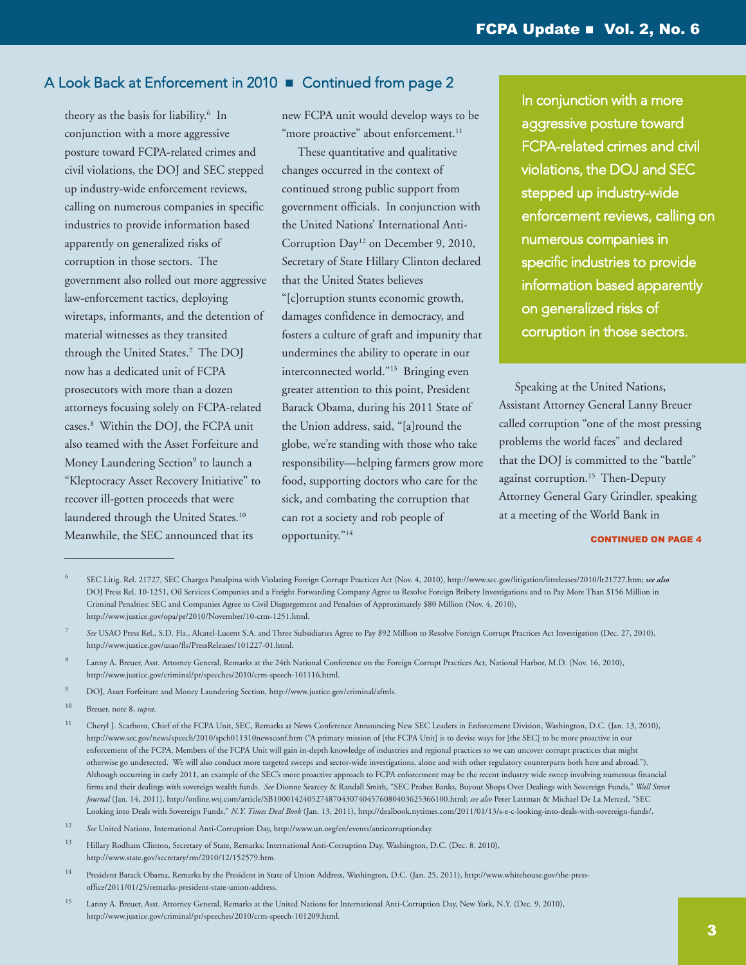theory as the basis for liability. <sup>6</sup> In conjunction with a more aggressive posture toward FCPA-related crimes and civil violations, the DOJ and SEC stepped up industry-wide enforcement reviews, calling on numerous companies in specific industries to provide information based apparently on generalized risks of corruption in those sectors. The government also rolled out more aggressive law-enforcement tactics, deploying wiretaps, informants, and the detention of material witnesses as they transited through the United States. <sup>7</sup> The DOJ now has a dedicated unit of FCPA prosecutors with more than a dozen attorneys focusing solely on FCPA-related cases. <sup>8</sup> Within the DOJ, the FCPA unit also teamed with the Asset Forfeiture and Money Laundering Section<sup>9</sup> to launch a "Kleptocracy Asset Recovery Initiative" to recover ill-gotten proceeds that were laundered through the United States. 10 Meanwhile, the SEC announced that its

new FCPA unit would develop ways to be "more proactive" about enforcement.<sup>11</sup>

 These quantitative and qualitative changes occurred in the context of continued strong public support from government officials. In conjunction with the United Nations' International Anti-Corruption Day<sup>12</sup> on December 9, 2010, Secretary of State Hillary Clinton declared that the United States believes "[c]orruption stunts economic growth, damages confidence in democracy, and fosters a culture of graft and impunity that undermines the ability to operate in our interconnected world."13 Bringing even greater attention to this point, President Barack Obama, during his 2011 State of the Union address, said, "[a]round the globe, we're standing with those who take responsibility—helping farmers grow more food, supporting doctors who care for the sick, and combating the corruption that can rot a society and rob people of opportunity."14

In conjunction with a more aggressive posture toward FCPA-related crimes and civil violations, the DOJ and SEC stepped up industry-wide enforcement reviews, calling on numerous companies in specific industries to provide information based apparently on generalized risks of corruption in those sectors.

 Speaking at the United Nations, Assistant Attorney General Lanny Breuer called corruption "one of the most pressing problems the world faces" and declared that the DOJ is committed to the "battle" against corruption. <sup>15</sup> Then-Deputy Attorney General Gary Grindler, speaking at a meeting of the World Bank in

#### **CONTINUED ON PAGE 4**

- 9 DOJ, Asset Forfeiture and Money Laundering Section, [http://www.justice.gov/criminal/afmls.](http://www.justice.gov/criminal/afmls)
- 10 Breuer, note 8, *supra*.

<sup>6</sup> SEC Litig. Rel. 21727, SEC Charges Panalpina with Violating Foreign Corrupt Practices Act (Nov. 4, 2010), [http://www.sec.gov/litigation/litreleases/2010/lr21727.htm;](http://www.sec.gov/litigation/litreleases/2010/lr21727.htm) *see also* DOJ Press Rel. 10-1251, Oil Services Companies and a Freight Forwarding Company Agree to Resolve Foreign Bribery Investigations and to Pay More Than \$156 Million in Criminal Penalties: SEC and Companies Agree to Civil Disgorgement and Penalties of Approximately \$80 Million (Nov. 4, 2010), [http://www.justice.gov/opa/pr/2010/November/10-crm-1251.html.](http://www.justice.gov/opa/pr/2010/November/10-crm-1251.html)

<sup>7</sup> *See* USAO Press Rel., S.D. Fla., Alcatel-Lucent S.A. and Three Subsidiaries Agree to Pay \$92 Million to Resolve Foreign Corrupt Practices Act Investigation (Dec. 27, 2010), [http://www.justice.gov/usao/fls/PressReleases/101227-01.html.](http://www.justice.gov/usao/fls/PressReleases/101227-01.html)

Lanny A. Breuer, Asst. Attorney General, Remarks at the 24th National Conference on the Foreign Corrupt Practices Act, National Harbor, M.D. (Nov. 16, 2010), [http://www.justice.gov/criminal/pr/speeches/2010/crm-speech-101116.html.](http://www.justice.gov/criminal/pr/speeches/2010/crm-speech-101116.html)

<sup>&</sup>lt;sup>11</sup> Cheryl J. Scarboro, Chief of the FCPA Unit, SEC, Remarks at News Conference Announcing New SEC Leaders in Enforcement Division, Washington, D.C. (Jan. 13, 2010), <http://www.sec.gov/news/speech/2010/spch011310newsconf.htm> ("A primary mission of [the FCPA Unit] is to devise ways for [the SEC] to be more proactive in our enforcement of the FCPA. Members of the FCPA Unit will gain in-depth knowledge of industries and regional practices so we can uncover corrupt practices that might otherwise go undetected. We will also conduct more targeted sweeps and sector-wide investigations, alone and with other regulatory counterparts both here and abroad."). Although occurring in early 2011, an example of the SEC's more proactive approach to FCPA enforcement may be the recent industry wide sweep involving numerous financial firms and their dealings with sovereign wealth funds. *See* Dionne Searcey & Randall Smith, "SEC Probes Banks, Buyout Shops Over Dealings with Sovereign Funds," *Wall Street Journal* (Jan. 14, 2011), [http://online.wsj.com/article/SB10001424052748704307404576080403625366100.html;](http://online.wsj.com/article/SB10001424052748704307404576080403625366100.html) *see also* Peter Lattman & Michael De La Merced, "SEC Looking into Deals with Sovereign Funds," *N.Y. Times Deal Book* (Jan. 13, 2011), [http://dealbook.nytimes.com/2011/01/13/s-e-c-looking-into-deals-with-sovereign-funds/.](http://dealbook.nytimes.com/2011/01/13/s-e-c-looking-into-deals-with-sovereign-funds/)

<sup>12</sup> *See* United Nations, International Anti-Corruption Day, [http://www.un.org/en/events/anticorruptionday.](http://www.un.org/en/events/anticorruptionday)

<sup>&</sup>lt;sup>13</sup> Hillary Rodham Clinton, Secretary of State, Remarks: International Anti-Corruption Day, Washington, D.C. (Dec. 8, 2010), [http://www.state.gov/secretary/rm/2010/12/152579.htm.](http://www.state.gov/secretary/rm/2010/12/152579.htm)

<sup>14</sup> President Barack Obama, Remarks by the President in State of Union Address, Washington, D.C. (Jan. 25, 2011), [http://www.whitehouse.gov/the-p](http://www.whitehouse.gov/the-press-office/2011/01/25/remarks-president-state-union-address)ress[office/2011/01/25/remarks-president-state-union-address.](http://www.whitehouse.gov/the-press-office/2011/01/25/remarks-president-state-union-address)

<sup>&</sup>lt;sup>15</sup> Lanny A. Breuer, Asst. Attorney General, Remarks at the United Nations for International Anti-Corruption Day, New York, N.Y. (Dec. 9, 2010), [http://www.justice.gov/criminal/pr/speeches/2010/crm-speech-101209.html.](http://www.justice.gov/criminal/pr/speeches/2010/crm-speech-101209.html)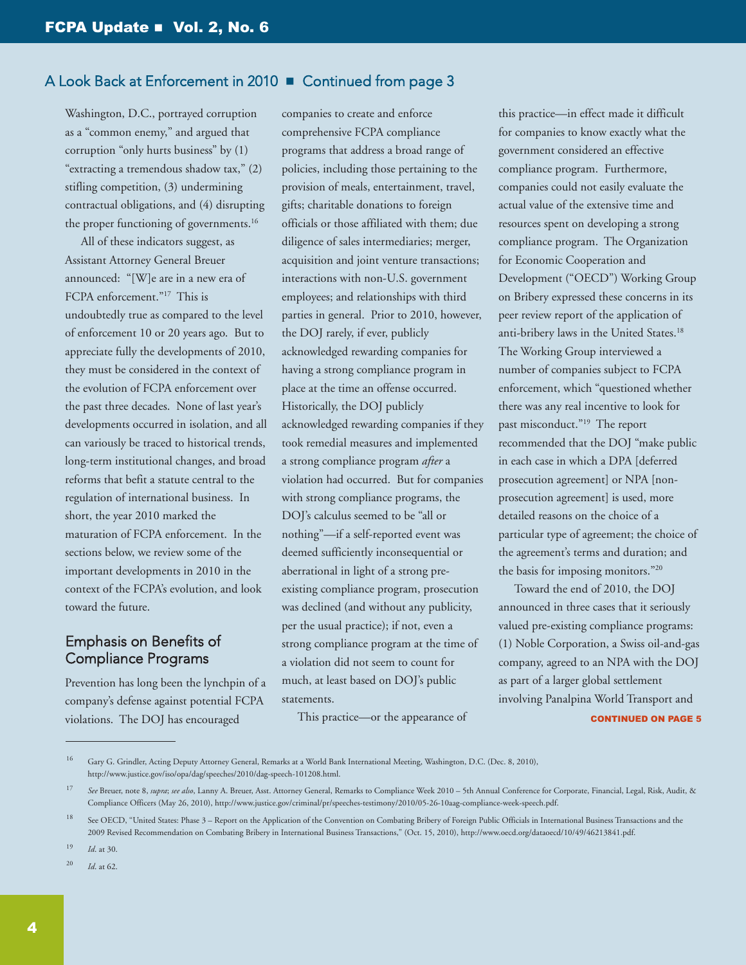Washington, D.C., portrayed corruption as a "common enemy," and argued that corruption "only hurts business" by (1) "extracting a tremendous shadow tax," (2) stifling competition, (3) undermining contractual obligations, and (4) disrupting the proper functioning of governments. 16

 All of these indicators suggest, as Assistant Attorney General Breuer announced: "[W]e are in a new era of FCPA enforcement."<sup>17</sup> This is undoubtedly true as compared to the level of enforcement 10 or 20 years ago. But to appreciate fully the developments of 2010, they must be considered in the context of the evolution of FCPA enforcement over the past three decades. None of last year's developments occurred in isolation, and all can variously be traced to historical trends, long-term institutional changes, and broad reforms that befit a statute central to the regulation of international business. In short, the year 2010 marked the maturation of FCPA enforcement. In the sections below, we review some of the important developments in 2010 in the context of the FCPA's evolution, and look toward the future.

## Emphasis on Benefits of Compliance Programs

Prevention has long been the lynchpin of a company's defense against potential FCPA violations. The DOJ has encouraged

companies to create and enforce comprehensive FCPA compliance programs that address a broad range of policies, including those pertaining to the provision of meals, entertainment, travel, gifts; charitable donations to foreign officials or those affiliated with them; due diligence of sales intermediaries; merger, acquisition and joint venture transactions; interactions with non-U.S. government employees; and relationships with third parties in general. Prior to 2010, however, the DOJ rarely, if ever, publicly acknowledged rewarding companies for having a strong compliance program in place at the time an offense occurred. Historically, the DOJ publicly acknowledged rewarding companies if they took remedial measures and implemented a strong compliance program *after* a violation had occurred. But for companies with strong compliance programs, the DOJ's calculus seemed to be "all or nothing"—if a self-reported event was deemed sufficiently inconsequential or aberrational in light of a strong preexisting compliance program, prosecution was declined (and without any publicity, per the usual practice); if not, even a strong compliance program at the time of a violation did not seem to count for much, at least based on DOJ's public statements.

This practice—or the appearance of

this practice—in effect made it difficult for companies to know exactly what the government considered an effective compliance program. Furthermore, companies could not easily evaluate the actual value of the extensive time and resources spent on developing a strong compliance program. The Organization for Economic Cooperation and Development ("OECD") Working Group on Bribery expressed these concerns in its peer review report of the application of anti-bribery laws in the United States. 18 The Working Group interviewed a number of companies subject to FCPA enforcement, which "questioned whether there was any real incentive to look for past misconduct."19 The report recommended that the DOJ "make public in each case in which a DPA [deferred prosecution agreement] or NPA [nonprosecution agreement] is used, more detailed reasons on the choice of a particular type of agreement; the choice of the agreement's terms and duration; and the basis for imposing monitors."20

 Toward the end of 2010, the DOJ announced in three cases that it seriously valued pre-existing compliance programs: (1) Noble Corporation, a Swiss oil-and-gas company, agreed to an NPA with the DOJ as part of a larger global settlement involving Panalpina World Transport and **CONTINUED ON PAGE 5** 

19 *Id*. at 30.

20 *Id*. at 62.

<sup>16</sup> Gary G. Grindler, Acting Deputy Attorney General, Remarks at a World Bank International Meeting, Washington, D.C. (Dec. 8, 2010), [http://www.justice.gov/iso/opa/dag/speeches/2010/dag-speech-101208.html.](http://www.justice.gov/iso/opa/dag/speeches/2010/dag-speech-101208.html)

<sup>17</sup> *See* Breuer, note 8, *supra*; *see also*, Lanny A. Breuer, Asst. Attorney General, Remarks to Compliance Week 2010 – 5th Annual Conference for Corporate, Financial, Legal, Risk, Audit, & Compliance Officers (May 26, 2010), [http://www.justice.gov/criminal/pr/speeches-testimony/2010/05-26-10aag-compliance-week-speech.pdf.](http://www.justice.gov/criminal/pr/speeches-testimony/2010/05-26-10aag-compliance-week-speech.pdf)

<sup>&</sup>lt;sup>18</sup> See OECD, "United States: Phase 3 – Report on the Application of the Convention on Combating Bribery of Foreign Public Officials in International Business Transactions and the 2009 Revised Recommendation on Combating Bribery in International Business Transactions," (Oct. 15, 2010), [http://www.oecd.org/dataoecd/10/49/46213841.pdf.](http://www.oecd.org/dataoecd/10/49/46213841.pdf)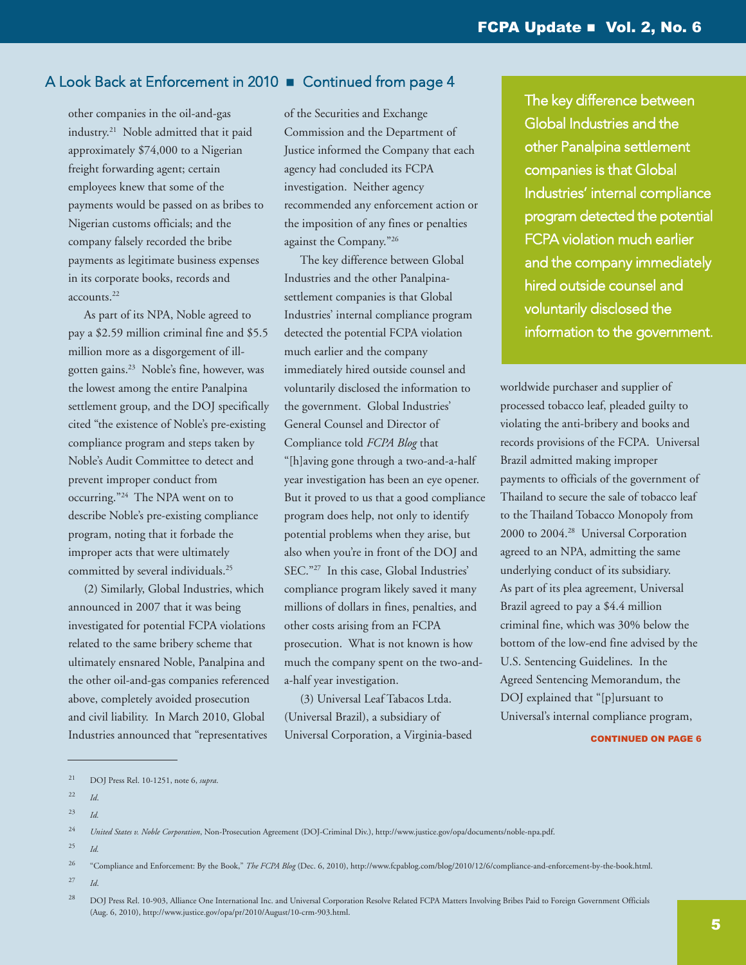other companies in the oil-and-gas industry. <sup>21</sup> Noble admitted that it paid approximately \$74,000 to a Nigerian freight forwarding agent; certain employees knew that some of the payments would be passed on as bribes to Nigerian customs officials; and the company falsely recorded the bribe payments as legitimate business expenses in its corporate books, records and accounts. 22

 As part of its NPA, Noble agreed to pay a \$2.59 million criminal fine and \$5.5 million more as a disgorgement of illgotten gains. <sup>23</sup> Noble's fine, however, was the lowest among the entire Panalpina settlement group, and the DOJ specifically cited "the existence of Noble's pre-existing compliance program and steps taken by Noble's Audit Committee to detect and prevent improper conduct from occurring."24 The NPA went on to describe Noble's pre-existing compliance program, noting that it forbade the improper acts that were ultimately committed by several individuals. 25

 (2) Similarly, Global Industries, which announced in 2007 that it was being investigated for potential FCPA violations related to the same bribery scheme that ultimately ensnared Noble, Panalpina and the other oil-and-gas companies referenced above, completely avoided prosecution and civil liability. In March 2010, Global Industries announced that "representatives

of the Securities and Exchange Commission and the Department of Justice informed the Company that each agency had concluded its FCPA investigation. Neither agency recommended any enforcement action or the imposition of any fines or penalties against the Company."26

 The key difference between Global Industries and the other Panalpinasettlement companies is that Global Industries' internal compliance program detected the potential FCPA violation much earlier and the company immediately hired outside counsel and voluntarily disclosed the information to the government. Global Industries' General Counsel and Director of Compliance told *FCPA Blog* that "[h]aving gone through a two-and-a-half year investigation has been an eye opener. But it proved to us that a good compliance program does help, not only to identify potential problems when they arise, but also when you're in front of the DOJ and SEC."27 In this case, Global Industries' compliance program likely saved it many millions of dollars in fines, penalties, and other costs arising from an FCPA prosecution. What is not known is how much the company spent on the two-anda-half year investigation.

 (3) Universal Leaf Tabacos Ltda. (Universal Brazil), a subsidiary of Universal Corporation, a Virginia-based The key difference between Global Industries and the other Panalpina settlement companies is that Global Industries' internal compliance program detected the potential FCPA violation much earlier and the company immediately hired outside counsel and voluntarily disclosed the information to the government.

worldwide purchaser and supplier of processed tobacco leaf, pleaded guilty to violating the anti-bribery and books and records provisions of the FCPA. Universal Brazil admitted making improper payments to officials of the government of Thailand to secure the sale of tobacco leaf to the Thailand Tobacco Monopoly from 2000 to 2004. <sup>28</sup> Universal Corporation agreed to an NPA, admitting the same underlying conduct of its subsidiary. As part of its plea agreement, Universal Brazil agreed to pay a \$4.4 million criminal fine, which was 30% below the bottom of the low-end fine advised by the U.S. Sentencing Guidelines. In the Agreed Sentencing Memorandum, the DOJ explained that "[p]ursuant to Universal's internal compliance program,

CONTINUED ON PAGE 6

25 *Id.*

27 *Id*.

<sup>21</sup> DOJ Press Rel. 10-1251, note 6, *supra*.

<sup>22</sup> *Id*.

<sup>23</sup> *Id.*

<sup>24</sup> *United States v. Noble Corporation*, Non-Prosecution Agreement (DOJ-Criminal Div.), [http://www.justice.gov/opa/documents/noble-npa.pdf.](http://www.justice.gov/opa/documents/noble-npa.pdf)

<sup>26 &</sup>quot;Compliance and Enforcement: By the Book," *The FCPA Blog* (Dec. 6, 2010), [http://www.fcpablog.com/blog/2010/12/6/compliance-and-enforcement-by-the-book.html.](http://www.fcpablog.com/blog/2010/12/6/compliance-and-enforcement-by-the-book.html)

<sup>&</sup>lt;sup>28</sup> DOJ Press Rel. 10-903, Alliance One International Inc. and Universal Corporation Resolve Related FCPA Matters Involving Bribes Paid to Foreign Government Officials (Aug. 6, 2010), [http://www.justice.gov/opa/pr/2010/August/10-crm-903.html.](http://www.justice.gov/opa/pr/2010/August/10-crm-903.html)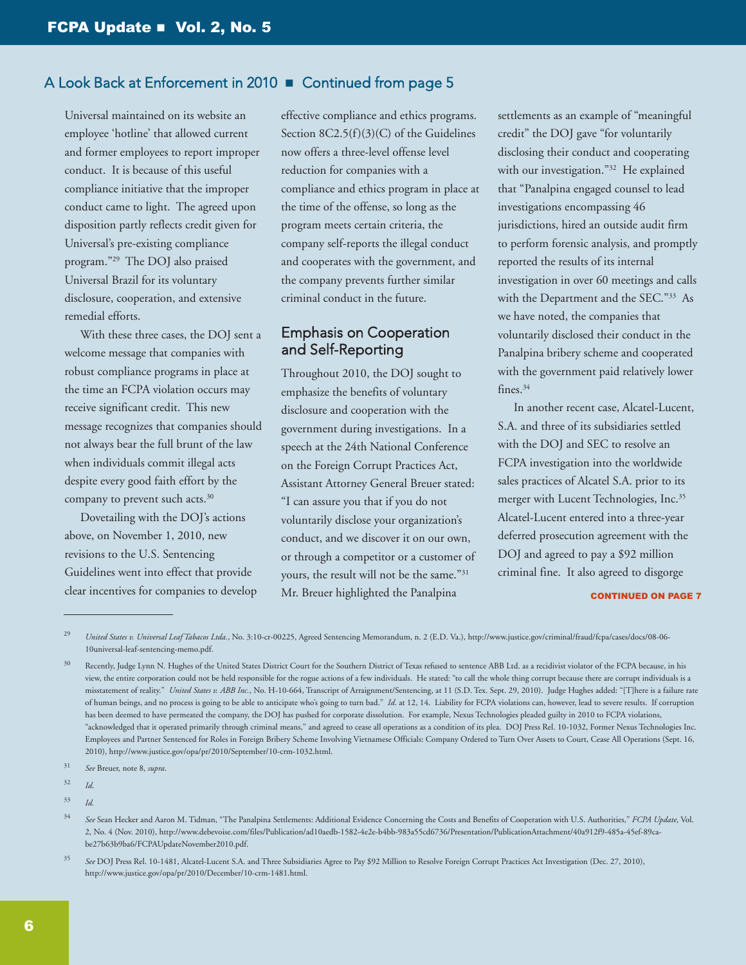Universal maintained on its website an employee 'hotline' that allowed current and former employees to report improper conduct. It is because of this useful compliance initiative that the improper conduct came to light. The agreed upon disposition partly reflects credit given for Universal's pre-existing compliance program."29 The DOJ also praised Universal Brazil for its voluntary disclosure, cooperation, and extensive remedial efforts.

 With these three cases, the DOJ sent a welcome message that companies with robust compliance programs in place at the time an FCPA violation occurs may receive significant credit. This new message recognizes that companies should not always bear the full brunt of the law when individuals commit illegal acts despite every good faith effort by the company to prevent such acts. 30

 Dovetailing with the DOJ's actions above, on November 1, 2010, new revisions to the U.S. Sentencing Guidelines went into effect that provide clear incentives for companies to develop effective compliance and ethics programs. Section 8C2.5(f)(3)(C) of the Guidelines now offers a three-level offense level reduction for companies with a compliance and ethics program in place at the time of the offense, so long as the program meets certain criteria, the company self-reports the illegal conduct and cooperates with the government, and the company prevents further similar criminal conduct in the future.

## Emphasis on Cooperation and Self-Reporting

Throughout 2010, the DOJ sought to emphasize the benefits of voluntary disclosure and cooperation with the government during investigations. In a speech at the 24th National Conference on the Foreign Corrupt Practices Act, Assistant Attorney General Breuer stated: "I can assure you that if you do not voluntarily disclose your organization's conduct, and we discover it on our own, or through a competitor or a customer of yours, the result will not be the same."31 Mr. Breuer highlighted the Panalpina

settlements as an example of "meaningful credit" the DOJ gave "for voluntarily disclosing their conduct and cooperating with our investigation."<sup>32</sup> He explained that "Panalpina engaged counsel to lead investigations encompassing 46 jurisdictions, hired an outside audit firm to perform forensic analysis, and promptly reported the results of its internal investigation in over 60 meetings and calls with the Department and the SEC."33 As we have noted, the companies that voluntarily disclosed their conduct in the Panalpina bribery scheme and cooperated with the government paid relatively lower fines. 34

 In another recent case, Alcatel-Lucent, S.A. and three of its subsidiaries settled with the DOJ and SEC to resolve an FCPA investigation into the worldwide sales practices of Alcatel S.A. prior to its merger with Lucent Technologies, Inc. 35 Alcatel-Lucent entered into a three-year deferred prosecution agreement with the DOJ and agreed to pay a \$92 million criminal fine. It also agreed to disgorge

#### **CONTINUED ON PAGE 7**

United States v. Universal Leaf Tabacos Ltda., No. 3:10-cr-00225, Agreed Sentencing Memorandum, n. 2 (E.D. Va.), [http://www.justice.gov/criminal/fraud/fcpa/cases/docs/08-06-](http://www.justice.gov/criminal/fraud/fcpa/cases/docs/08-06-10universal-leaf-sentencing-memo.pdf) [10universal-leaf-sentencing-memo.pdf.](http://www.justice.gov/criminal/fraud/fcpa/cases/docs/08-06-10universal-leaf-sentencing-memo.pdf)

<sup>&</sup>lt;sup>30</sup> Recently, Judge Lynn N. Hughes of the United States District Court for the Southern District of Texas refused to sentence ABB Ltd. as a recidivist violator of the FCPA because, in his view, the entire corporation could not be held responsible for the rogue actions of a few individuals. He stated: "to call the whole thing corrupt because there are corrupt individuals is a misstatement of reality." *United States v. ABB Inc.*, No. H-10-664, Transcript of Arraignment/Sentencing, at 11 (S.D. Tex. Sept. 29, 2010). Judge Hughes added: "[T]here is a failure rate of human beings, and no process is going to be able to anticipate who's going to turn bad." *Id*. at 12, 14. Liability for FCPA violations can, however, lead to severe results. If corruption has been deemed to have permeated the company, the DOJ has pushed for corporate dissolution. For example, Nexus Technologies pleaded guilty in 2010 to FCPA violations, "acknowledged that it operated primarily through criminal means," and agreed to cease all operations as a condition of its plea. DOJ Press Rel. 10-1032, Former Nexus Technologies Inc. Employees and Partner Sentenced for Roles in Foreign Bribery Scheme Involving Vietnamese Officials: Company Ordered to Turn Over Assets to Court, Cease All Operations (Sept. 16, 2010), [http://www.justice.gov/opa/pr/2010/September/10-crm-1032.html.](http://www.justice.gov/opa/pr/2010/September/10-crm-1032.html)

<sup>31</sup> *See* Breuer, note 8, *supra*.

<sup>32</sup> *Id*.

<sup>33</sup> *Id.*

<sup>34</sup> *See* Sean Hecker and Aaron M. Tidman, "The Panalpina Settlements: Additional Evidence Concerning the Costs and Benefits of Cooperation with U.S. Authorities," *FCPA Update*, Vol. 2, No. 4 (Nov. 2010), [http://www.debevoise.com/files/Publication/ad10aedb-1582-4e2e-b4bb-983a55cd6736/Presentation/PublicationAttachment/40a912f9-485a-45ef-89ca](http://www.debevoise.com/files/Publication/ad10aedb-1582-4e2e-b4bb-983a55cd6736/Presentation/PublicationAttachment/40a912f9-485a-45ef-89ca-be27b63b9ba6/FCPAUpdateNovember2010.pdf)be27b63b9ba6/FCPAUpdateNovember2010.pdf.

<sup>35</sup> *See* DOJ Press Rel. 10-1481, Alcatel-Lucent S.A. and Three Subsidiaries Agree to Pay \$92 Million to Resolve Foreign Corrupt Practices Act Investigation (Dec. 27, 2010), [http://www.justice.gov/opa/pr/2010/December/10-crm-1481.html.](http://www.justice.gov/opa/pr/2010/December/10-crm-1481.html)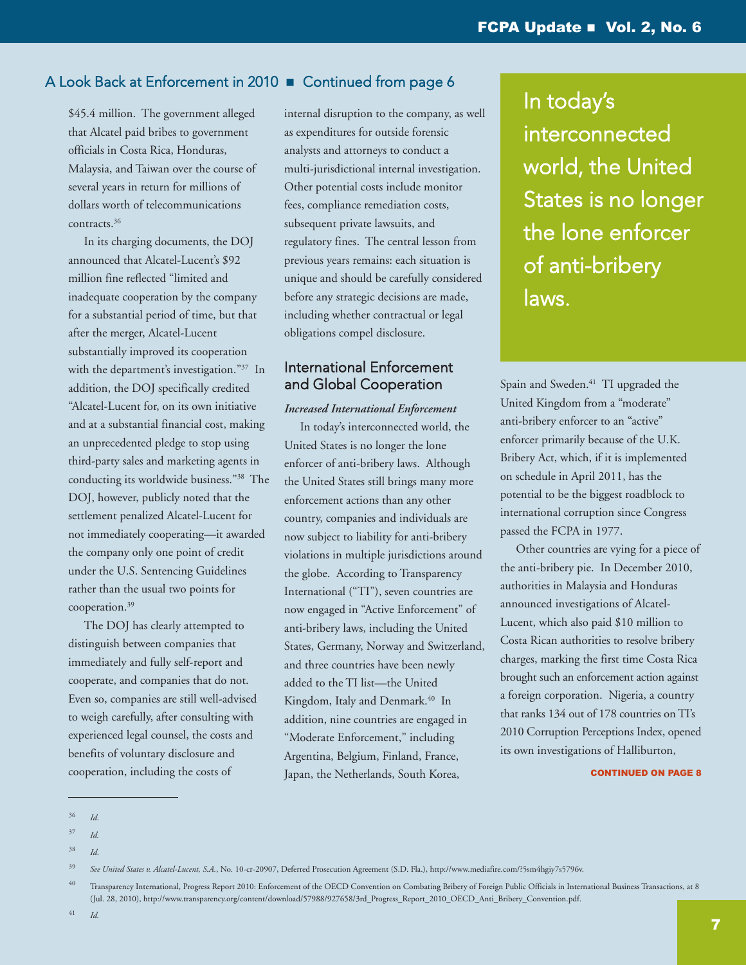\$45.4 million. The government alleged that Alcatel paid bribes to government officials in Costa Rica, Honduras, Malaysia, and Taiwan over the course of several years in return for millions of dollars worth of telecommunications contracts. 36

 In its charging documents, the DOJ announced that Alcatel-Lucent's \$92 million fine reflected "limited and inadequate cooperation by the company for a substantial period of time, but that after the merger, Alcatel-Lucent substantially improved its cooperation with the department's investigation."37 In addition, the DOJ specifically credited "Alcatel-Lucent for, on its own initiative and at a substantial financial cost, making an unprecedented pledge to stop using third-party sales and marketing agents in conducting its worldwide business."38 The DOJ, however, publicly noted that the settlement penalized Alcatel-Lucent for not immediately cooperating—it awarded the company only one point of credit under the U.S. Sentencing Guidelines rather than the usual two points for cooperation. 39

 The DOJ has clearly attempted to distinguish between companies that immediately and fully self-report and cooperate, and companies that do not. Even so, companies are still well-advised to weigh carefully, after consulting with experienced legal counsel, the costs and benefits of voluntary disclosure and cooperation, including the costs of

internal disruption to the company, as well as expenditures for outside forensic analysts and attorneys to conduct a multi-jurisdictional internal investigation. Other potential costs include monitor fees, compliance remediation costs, subsequent private lawsuits, and regulatory fines. The central lesson from previous years remains: each situation is unique and should be carefully considered before any strategic decisions are made, including whether contractual or legal obligations compel disclosure.

## International Enforcement and Global Cooperation

#### *Increased International Enforcement*

 In today's interconnected world, the United States is no longer the lone enforcer of anti-bribery laws. Although the United States still brings many more enforcement actions than any other country, companies and individuals are now subject to liability for anti-bribery violations in multiple jurisdictions around the globe. According to Transparency International ("TI"), seven countries are now engaged in "Active Enforcement" of anti-bribery laws, including the United States, Germany, Norway and Switzerland, and three countries have been newly added to the TI list—the United Kingdom, Italy and Denmark. <sup>40</sup> In addition, nine countries are engaged in "Moderate Enforcement," including Argentina, Belgium, Finland, France, Japan, the Netherlands, South Korea,

In today's interconnected world, the United States is no longer the lone enforcer of anti-bribery laws.

Spain and Sweden. <sup>41</sup> TI upgraded the United Kingdom from a "moderate" anti-bribery enforcer to an "active" enforcer primarily because of the U.K. Bribery Act, which, if it is implemented on schedule in April 2011, has the potential to be the biggest roadblock to international corruption since Congress passed the FCPA in 1977.

 Other countries are vying for a piece of the anti-bribery pie. In December 2010, authorities in Malaysia and Honduras announced investigations of Alcatel-Lucent, which also paid \$10 million to Costa Rican authorities to resolve bribery charges, marking the first time Costa Rica brought such an enforcement action against a foreign corporation. Nigeria, a country that ranks 134 out of 178 countries on TI's 2010 Corruption Perceptions Index, opened its own investigations of Halliburton,

**CONTINUED ON PAGE 8** 

38 *Id*.

<sup>36</sup> *Id*.

<sup>37</sup> *Id.*

<sup>39</sup> *See United States v. Alcatel-Lucent, S.A.*, No. 10-cr-20907, Deferred Prosecution Agreement (S.D. Fla.), [http://www.mediafire.com/?5sm4hgiy7s5796v.](http://www.mediafire.com/?5sm4hgiy7s5796v)

<sup>&</sup>lt;sup>40</sup> Transparency International, Progress Report 2010: Enforcement of the OECD Convention on Combating Bribery of Foreign Public Officials in International Business Transactions, at 8 (Jul. 28, 2010), [http://www.transparency.org/content/download/57988/927658/3rd\\_Progress\\_Report\\_2010\\_OECD\\_Anti\\_Bribery\\_Convention.pdf.](http://www.transparency.org/content/download/57988/927658/3rd_Progress_Report_2010_OECD_Anti_Bribery_Convention.pdf)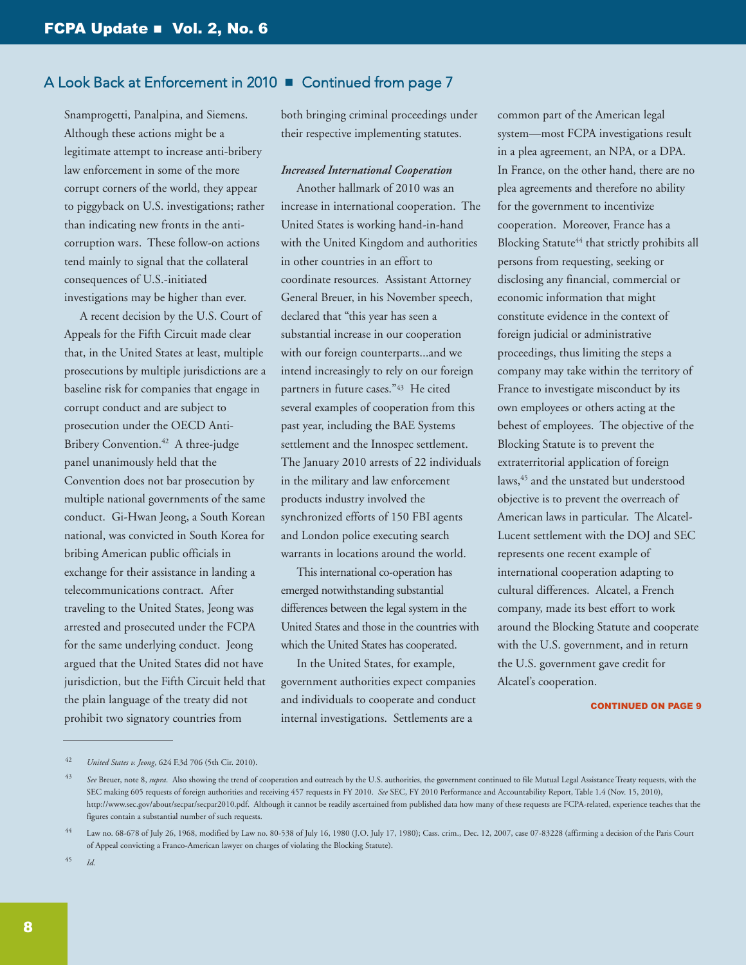Snamprogetti, Panalpina, and Siemens. Although these actions might be a legitimate attempt to increase anti-bribery law enforcement in some of the more corrupt corners of the world, they appear to piggyback on U.S. investigations; rather than indicating new fronts in the anticorruption wars. These follow-on actions tend mainly to signal that the collateral consequences of U.S.-initiated investigations may be higher than ever.

 A recent decision by the U.S. Court of Appeals for the Fifth Circuit made clear that, in the United States at least, multiple prosecutions by multiple jurisdictions are a baseline risk for companies that engage in corrupt conduct and are subject to prosecution under the OECD Anti-Bribery Convention. <sup>42</sup> A three-judge panel unanimously held that the Convention does not bar prosecution by multiple national governments of the same conduct. Gi-Hwan Jeong, a South Korean national, was convicted in South Korea for bribing American public officials in exchange for their assistance in landing a telecommunications contract. After traveling to the United States, Jeong was arrested and prosecuted under the FCPA for the same underlying conduct. Jeong argued that the United States did not have jurisdiction, but the Fifth Circuit held that the plain language of the treaty did not prohibit two signatory countries from

both bringing criminal proceedings under their respective implementing statutes.

#### *Increased International Cooperation*

 Another hallmark of 2010 was an increase in international cooperation. The United States is working hand-in-hand with the United Kingdom and authorities in other countries in an effort to coordinate resources. Assistant Attorney General Breuer, in his November speech, declared that "this year has seen a substantial increase in our cooperation with our foreign counterparts...and we intend increasingly to rely on our foreign partners in future cases."43 He cited several examples of cooperation from this past year, including the BAE Systems settlement and the Innospec settlement. The January 2010 arrests of 22 individuals in the military and law enforcement products industry involved the synchronized efforts of 150 FBI agents and London police executing search warrants in locations around the world.

 This international co-operation has emerged notwithstanding substantial differences between the legal system in the United States and those in the countries with which the United States has cooperated.

 In the United States, for example, government authorities expect companies and individuals to cooperate and conduct internal investigations. Settlements are a

common part of the American legal system—most FCPA investigations result in a plea agreement, an NPA, or a DPA. In France, on the other hand, there are no plea agreements and therefore no ability for the government to incentivize cooperation. Moreover, France has a Blocking Statute<sup>44</sup> that strictly prohibits all persons from requesting, seeking or disclosing any financial, commercial or economic information that might constitute evidence in the context of foreign judicial or administrative proceedings, thus limiting the steps a company may take within the territory of France to investigate misconduct by its own employees or others acting at the behest of employees. The objective of the Blocking Statute is to prevent the extraterritorial application of foreign laws, <sup>45</sup> and the unstated but understood objective is to prevent the overreach of American laws in particular. The Alcatel-Lucent settlement with the DOJ and SEC represents one recent example of international cooperation adapting to cultural differences. Alcatel, a French company, made its best effort to work around the Blocking Statute and cooperate with the U.S. government, and in return the U.S. government gave credit for Alcatel's cooperation.

#### **CONTINUED ON PAGE 9**

45 *Id.*

<sup>42</sup> *United States v. Jeong*, 624 F.3d 706 (5th Cir. 2010).

<sup>43</sup> *See* Breuer, note 8, *supra*. Also showing the trend of cooperation and outreach by the U.S. authorities, the government continued to file Mutual Legal Assistance Treaty requests, with the SEC making 605 requests of foreign authorities and receiving 457 requests in FY 2010. *See* SEC, FY 2010 Performance and Accountability Report, Table 1.4 (Nov. 15, 2010), [http://www.sec.gov/about/secpar/secpar2010.pdf.](http://www.sec.gov/about/secpar/secpar2010.pdf) Although it cannot be readily ascertained from published data how many of these requests are FCPA-related, experience teaches that the figures contain a substantial number of such requests.

<sup>&</sup>lt;sup>44</sup> Law no. 68-678 of July 26, 1968, modified by Law no. 80-538 of July 16, 1980 (J.O. July 17, 1980); Cass. crim., Dec. 12, 2007, case 07-83228 (affirming a decision of the Paris Court of Appeal convicting a Franco-American lawyer on charges of violating the Blocking Statute).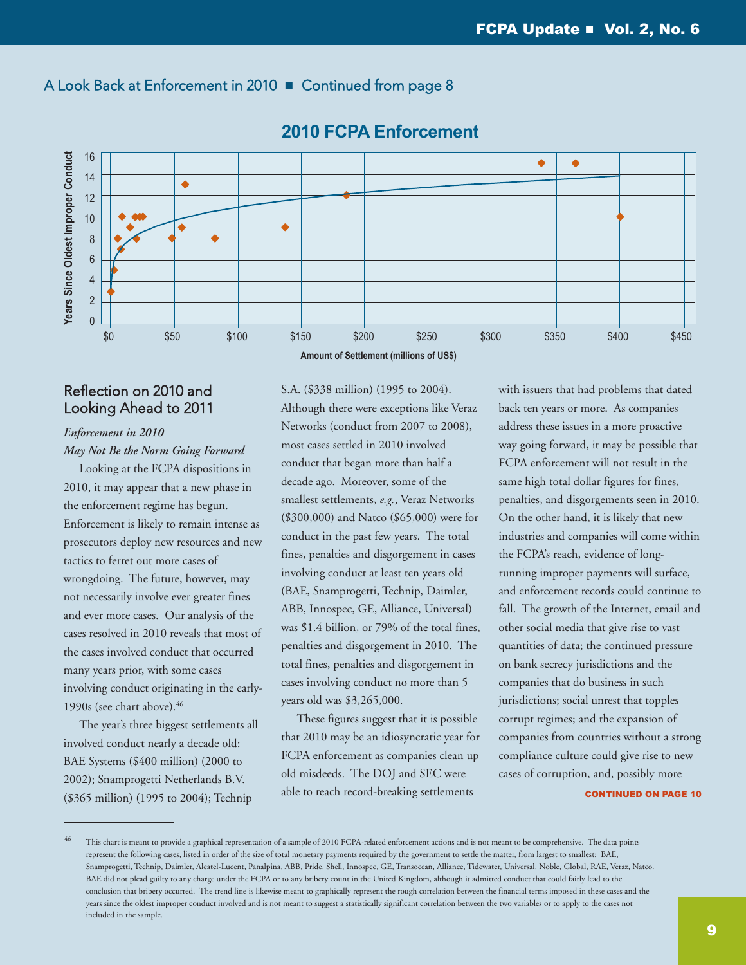

## **2010 FCPA Enforcement**

## Reflection on 2010 and Looking Ahead to 2011

## *Enforcement in 2010 May Not Be the Norm Going Forward*

 Looking at the FCPA dispositions in 2010, it may appear that a new phase in the enforcement regime has begun. Enforcement is likely to remain intense as prosecutors deploy new resources and new tactics to ferret out more cases of wrongdoing. The future, however, may not necessarily involve ever greater fines and ever more cases. Our analysis of the cases resolved in 2010 reveals that most of the cases involved conduct that occurred many years prior, with some cases involving conduct originating in the early-1990s (see chart above). 46

 The year's three biggest settlements all involved conduct nearly a decade old: BAE Systems (\$400 million) (2000 to 2002); Snamprogetti Netherlands B.V. (\$365 million) (1995 to 2004); Technip

**Amount of Settlement (millions of US\$)**

S.A. (\$338 million) (1995 to 2004). Although there were exceptions like Veraz Networks (conduct from 2007 to 2008), most cases settled in 2010 involved conduct that began more than half a decade ago. Moreover, some of the smallest settlements, *e.g.*, Veraz Networks (\$300,000) and Natco (\$65,000) were for conduct in the past few years. The total fines, penalties and disgorgement in cases involving conduct at least ten years old (BAE, Snamprogetti, Technip, Daimler, ABB, Innospec, GE, Alliance, Universal) was \$1.4 billion, or 79% of the total fines, penalties and disgorgement in 2010. The total fines, penalties and disgorgement in cases involving conduct no more than 5 years old was \$3,265,000.

 These figures suggest that it is possible that 2010 may be an idiosyncratic year for FCPA enforcement as companies clean up old misdeeds. The DOJ and SEC were able to reach record-breaking settlements

with issuers that had problems that dated back ten years or more. As companies address these issues in a more proactive way going forward, it may be possible that FCPA enforcement will not result in the same high total dollar figures for fines, penalties, and disgorgements seen in 2010. On the other hand, it is likely that new industries and companies will come within the FCPA's reach, evidence of longrunning improper payments will surface, and enforcement records could continue to fall. The growth of the Internet, email and other social media that give rise to vast quantities of data; the continued pressure on bank secrecy jurisdictions and the companies that do business in such jurisdictions; social unrest that topples corrupt regimes; and the expansion of companies from countries without a strong compliance culture could give rise to new cases of corruption, and, possibly more

#### **CONTINUED ON PAGE 10**

This chart is meant to provide a graphical representation of a sample of 2010 FCPA-related enforcement actions and is not meant to be comprehensive. The data points represent the following cases, listed in order of the size of total monetary payments required by the government to settle the matter, from largest to smallest: BAE, Snamprogetti, Technip, Daimler, Alcatel-Lucent, Panalpina, ABB, Pride, Shell, Innospec, GE, Transocean, Alliance, Tidewater, Universal, Noble, Global, RAE, Veraz, Natco. BAE did not plead guilty to any charge under the FCPA or to any bribery count in the United Kingdom, although it admitted conduct that could fairly lead to the conclusion that bribery occurred. The trend line is likewise meant to graphically represent the rough correlation between the financial terms imposed in these cases and the years since the oldest improper conduct involved and is not meant to suggest a statistically significant correlation between the two variables or to apply to the cases not included in the sample.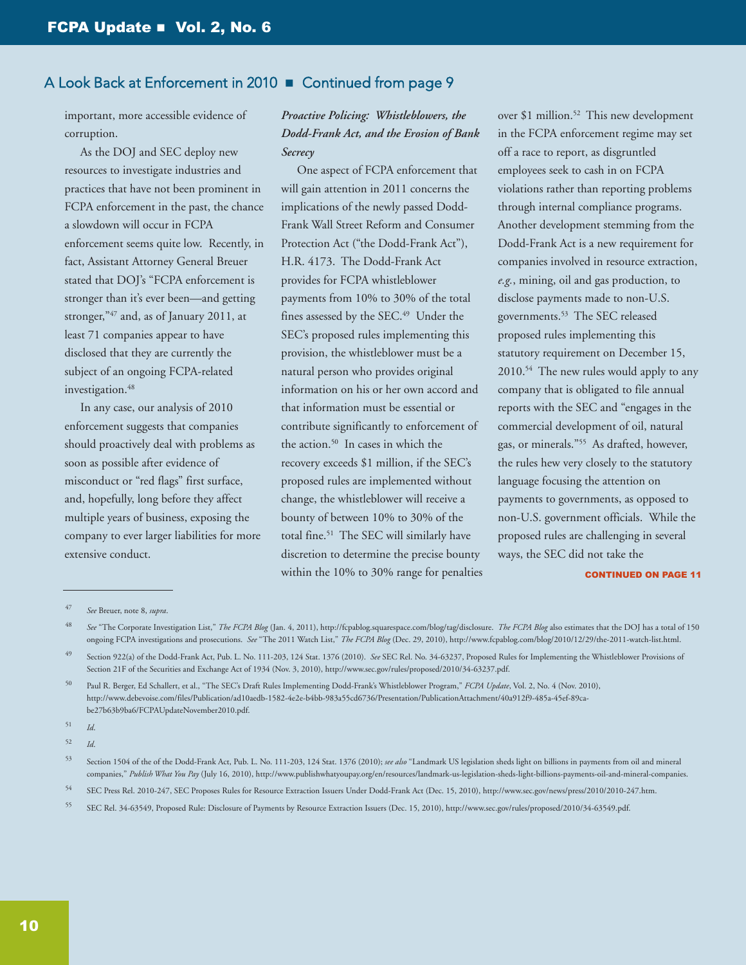important, more accessible evidence of corruption.

 As the DOJ and SEC deploy new resources to investigate industries and practices that have not been prominent in FCPA enforcement in the past, the chance a slowdown will occur in FCPA enforcement seems quite low. Recently, in fact, Assistant Attorney General Breuer stated that DOJ's "FCPA enforcement is stronger than it's ever been—and getting stronger,"<sup>47</sup> and, as of January 2011, at least 71 companies appear to have disclosed that they are currently the subject of an ongoing FCPA-related investigation. 48

 In any case, our analysis of 2010 enforcement suggests that companies should proactively deal with problems as soon as possible after evidence of misconduct or "red flags" first surface, and, hopefully, long before they affect multiple years of business, exposing the company to ever larger liabilities for more extensive conduct.

## *Proactive Policing: Whistleblowers, the Dodd-Frank Act, and the Erosion of Bank Secrecy*

 One aspect of FCPA enforcement that will gain attention in 2011 concerns the implications of the newly passed Dodd-Frank Wall Street Reform and Consumer Protection Act ("the Dodd-Frank Act"), H.R. 4173. The Dodd-Frank Act provides for FCPA whistleblower payments from 10% to 30% of the total fines assessed by the SEC.<sup>49</sup> Under the SEC's proposed rules implementing this provision, the whistleblower must be a natural person who provides original information on his or her own accord and that information must be essential or contribute significantly to enforcement of the action. <sup>50</sup> In cases in which the recovery exceeds \$1 million, if the SEC's proposed rules are implemented without change, the whistleblower will receive a bounty of between 10% to 30% of the total fine. <sup>51</sup> The SEC will similarly have discretion to determine the precise bounty within the 10% to 30% range for penalties

over \$1 million. <sup>52</sup> This new development in the FCPA enforcement regime may set off a race to report, as disgruntled employees seek to cash in on FCPA violations rather than reporting problems through internal compliance programs. Another development stemming from the Dodd-Frank Act is a new requirement for companies involved in resource extraction, *e.g.*, mining, oil and gas production, to disclose payments made to non-U.S. governments. <sup>53</sup> The SEC released proposed rules implementing this statutory requirement on December 15, 2010. <sup>54</sup> The new rules would apply to any company that is obligated to file annual reports with the SEC and "engages in the commercial development of oil, natural gas, or minerals."55 As drafted, however, the rules hew very closely to the statutory language focusing the attention on payments to governments, as opposed to non-U.S. government officials. While the proposed rules are challenging in several ways, the SEC did not take the

**CONTINUED ON PAGE 11** 

51 *Id*.

55 SEC Rel. 34-63549, Proposed Rule: Disclosure of Payments by Resource Extraction Issuers (Dec. 15, 2010), [http://www.sec.gov/rules/proposed/2010/34-63549.pdf.](http://www.sec.gov/rules/proposed/2010/34-63549.pdf)

<sup>47</sup> *See* Breuer, note 8, *supra*.

See "The Corporate Investigation List," The FCPA Blog (Jan. 4, 2011), [http://fcpablog.squarespace.com/blog/tag/disclosure.](http://fcpablog.squarespace.com/blog/tag/disclosure) The FCPA Blog also estimates that the DOJ has a total of 150 ongoing FCPA investigations and prosecutions. *See* "The 2011 Watch List," *The FCPA Blog* (Dec. 29, 2010), [http://www.fcpablog.com/blog/2010/12/29/the-2011-watch-list.html.](http://www.fcpablog.com/blog/2010/12/29/the-2011-watch-list.html)

<sup>49</sup> Section 922(a) of the Dodd-Frank Act, Pub. L. No. 111-203, 124 Stat. 1376 (2010). *See* SEC Rel. No. 34-63237, Proposed Rules for Implementing the Whistleblower Provisions of Section 21F of the Securities and Exchange Act of 1934 (Nov. 3, 2010), [http://www.sec.gov/rules/proposed/2010/34-63237.pdf.](http://www.sec.gov/rules/proposed/2010/34-63237.pdf)

<sup>50</sup> Paul R. Berger, Ed Schallert, et al., "The SEC's Draft Rules Implementing Dodd-Frank's Whistleblower Program," *FCPA Update*, Vol. 2, No. 4 (Nov. 2010), [http://www.debevoise.com/files/Publication/ad10aedb-1582-4e2e-b4bb-983a55cd6736/Presentation/PublicationAttachment/40a912f9-485a-45ef-89ca](http://www.debevoise.com/files/Publication/ad10aedb-1582-4e2e-b4bb-983a55cd6736/Presentation/PublicationAttachment/40a912f9-485a-45ef-89ca-be27b63b9ba6/FCPAUpdateNovember2010.pdf)be27b63b9ba6/FCPAUpdateNovember2010.pdf.

<sup>52</sup> *Id*.

<sup>53</sup> Section 1504 of the of the Dodd-Frank Act, Pub. L. No. 111-203, 124 Stat. 1376 (2010); *see also* "Landmark US legislation sheds light on billions in payments from oil and mineral companies," *Publish What You Pay* (July 16, 2010), [http://www.publishwhatyoupay.org/en/resources/landmark-us-legislation-sheds-light-billions-payments-oil-and-mineral-companies.](http://www.publishwhatyoupay.org/en/resources/landmark-us-legislation-sheds-light-billions-payments-oil-and-mineral-companies)

<sup>54</sup> SEC Press Rel. 2010-247, SEC Proposes Rules for Resource Extraction Issuers Under Dodd-Frank Act (Dec. 15, 2010), [http://www.sec.gov/news/press/2010/2010-247.htm.](http://www.sec.gov/news/press/2010/2010-247.htm)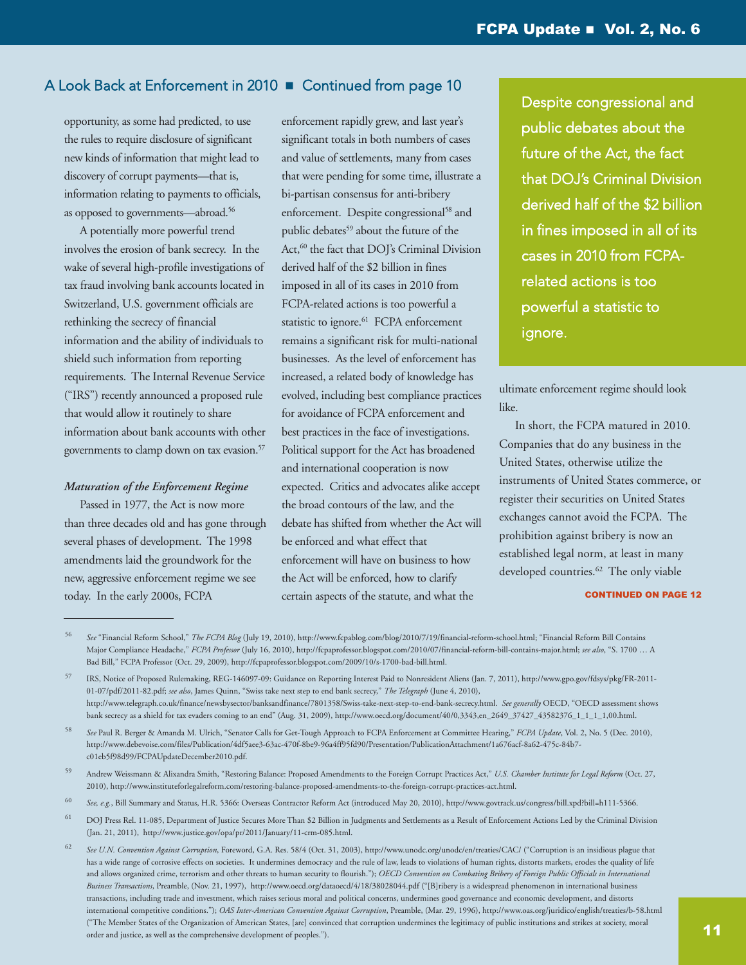opportunity, as some had predicted, to use the rules to require disclosure of significant new kinds of information that might lead to discovery of corrupt payments—that is, information relating to payments to officials, as opposed to governments—abroad. 56

 A potentially more powerful trend involves the erosion of bank secrecy. In the wake of several high-profile investigations of tax fraud involving bank accounts located in Switzerland, U.S. government officials are rethinking the secrecy of financial information and the ability of individuals to shield such information from reporting requirements. The Internal Revenue Service ("IRS") recently announced a proposed rule that would allow it routinely to share information about bank accounts with other governments to clamp down on tax evasion. 57

#### *Maturation of the Enforcement Regime*

 Passed in 1977, the Act is now more than three decades old and has gone through several phases of development. The 1998 amendments laid the groundwork for the new, aggressive enforcement regime we see today. In the early 2000s, FCPA

enforcement rapidly grew, and last year's significant totals in both numbers of cases and value of settlements, many from cases that were pending for some time, illustrate a bi-partisan consensus for anti-bribery enforcement. Despite congressional <sup>58</sup> and public debates <sup>59</sup> about the future of the Act, <sup>60</sup> the fact that DOJ's Criminal Division derived half of the \$2 billion in fines imposed in all of its cases in 2010 from FCPA-related actions is too powerful a statistic to ignore.<sup>61</sup> FCPA enforcement remains a significant risk for multi-national businesses. As the level of enforcement has increased, a related body of knowledge has evolved, including best compliance practices for avoidance of FCPA enforcement and best practices in the face of investigations. Political support for the Act has broadened and international cooperation is now expected. Critics and advocates alike accept the broad contours of the law, and the debate has shifted from whether the Act will be enforced and what effect that enforcement will have on business to how the Act will be enforced, how to clarify certain aspects of the statute, and what the

Despite congressional and public debates about the future of the Act, the fact that DOJ's Criminal Division derived half of the \$2 billion in fines imposed in all of its cases in 2010 from FCPArelated actions is too powerful a statistic to ignore.

ultimate enforcement regime should look like.

 In short, the FCPA matured in 2010. Companies that do any business in the United States, otherwise utilize the instruments of United States commerce, or register their securities on United States exchanges cannot avoid the FCPA. The prohibition against bribery is now an established legal norm, at least in many developed countries. <sup>62</sup> The only viable

#### **CONTINUED ON PAGE 12**

59 Andrew Weissmann & Alixandra Smith, "Restoring Balance: Proposed Amendments to the Foreign Corrupt Practices Act," *U.S. Chamber Institute for Legal Reform* (Oct. 27, 2010), [http://www.instituteforlegalreform.com/restoring-balance-proposed-amendments-to-the-foreign-corrupt-practices-act.html.](http://www.instituteforlegalreform.com/restoring-balance-proposed-amendments-to-the-foreign-corrupt-practices-act.html)

<sup>56</sup> *See* "Financial Reform School," *The FCPA Blog* (July 19, 2010), [http://www.fcpablog.com/blog/2010/7/19/financial-reform-school.html;](http://www.fcpablog.com/blog/2010/7/19/financial-reform-school.html) "Financial Reform Bill Contains Major Compliance Headache," *FCPA Professor* (July 16, 2010), [http://fcpaprofessor.blogspot.com/2010/07/financial-reform-bill-contains-major.html;](http://fcpaprofessor.blogspot.com/2010/07/financial-reform-bill-contains-major.html) *see also*, "S. 1700 … A Bad Bill," FCPA Professor (Oct. 29, 2009), [http://fcpaprofessor.blogspot.com/2009/10/s-1700-bad-bill.html.](http://fcpaprofessor.blogspot.com/2009/10/s-1700-bad-bill.html)

<sup>57</sup> IRS, Notice of Proposed Rulemaking, REG-146097-09: Guidance on Reporting Interest Paid to Nonresident Aliens (Jan. 7, 2011), [http://www.gpo.gov/fdsys/pkg/FR-2011-](http://www.gpo.gov/fdsys/pkg/FR-2011-01-07/pdf/2011-82.pdf) [01-07/pdf/2011-82.pdf;](http://www.gpo.gov/fdsys/pkg/FR-2011-01-07/pdf/2011-82.pdf) *see also*, James Quinn, "Swiss take next step to end bank secrecy," *The Telegraph* (June 4, 2010), [http://www.telegraph.co.uk/finance/newsbysector/banksandfinance/7801358/Swiss-take-next-step-to-end-bank-secrecy.html.](http://www.telegraph.co.uk/finance/newsbysector/banksandfinance/7801358/Swiss-take-next-step-to-end-bank-secrecy.html) *See generally* OECD, "OECD assessment shows bank secrecy as a shield for tax evaders coming to an end" (Aug. 31, 2009), [http://www.oecd.org/document/40/0,3343,en\\_2649\\_37427\\_43582376\\_1\\_1\\_1\\_1,00.html.](http://www.oecd.org/document/40/0,3343,en_2649_33767_43582376_1_1_1_37427,00.html)

<sup>58</sup> *See* Paul R. Berger & Amanda M. Ulrich, "Senator Calls for Get-Tough Approach to FCPA Enforcement at Committee Hearing," *FCPA Update*, Vol. 2, No. 5 (Dec. 2010), [http://www.debevoise.com/files/Publication/4df5aee3-63ac-470f-8be9-96a4ff95fd90/Presentation/PublicationAttachment/1a676acf-8a62-475c-84b7](http://www.debevoise.com/files/Publication/4df5aee3-63ac-470f-8be9-96a4ff95fd90/Presentation/PublicationAttachment/1a676acf-8a62-475c-84b7-c01eb5f98d99/FCPAUpdateDecember2010.pdf) c01eb5f98d99/FCPAUpdateDecember2010.pdf.

<sup>60</sup> *See, e.g.*, Bill Summary and Status, H.R. 5366: Overseas Contractor Reform Act (introduced May 20, 2010), [http://www.govtrack.us/congress/bill.xpd?bill=h111-5366.](http://www.govtrack.us/congress/bill.xpd?bill=h111-5366)

<sup>&</sup>lt;sup>61</sup> DOJ Press Rel. 11-085, Department of Justice Secures More Than \$2 Billion in Judgments and Settlements as a Result of Enforcement Actions Led by the Criminal Division (Jan. 21, 2011), [http://www.justice.gov/opa/pr/2011/January/11-crm-085.html.](http://www.justice.gov/opa/pr/2011/January/11-crm-085.html)

<sup>62</sup> *See U.N. Convention Against Corruption*, Foreword, G.A. Res. 58/4 (Oct. 31, 2003), <http://www.unodc.org/unodc/en/treaties/CAC/> ("Corruption is an insidious plague that has a wide range of corrosive effects on societies. It undermines democracy and the rule of law, leads to violations of human rights, distorts markets, erodes the quality of life and allows organized crime, terrorism and other threats to human security to flourish."); OECD Convention on Combating Bribery of Foreign Public Officials in International *Business Transactions*, Preamble, (Nov. 21, 1997), <http://www.oecd.org/dataoecd/4/18/38028044.pdf> ("[B]ribery is a widespread phenomenon in international business transactions, including trade and investment, which raises serious moral and political concerns, undermines good governance and economic development, and distorts international competitive conditions."); *OAS Inter-American Convention Against Corruption*, Preamble, (Mar. 29, 1996), <http://www.oas.org/juridico/english/treaties/b-58.html> ("The Member States of the Organization of American States, [are] convinced that corruption undermines the legitimacy of public institutions and strikes at society, moral order and justice, as well as the comprehensive development of peoples.").